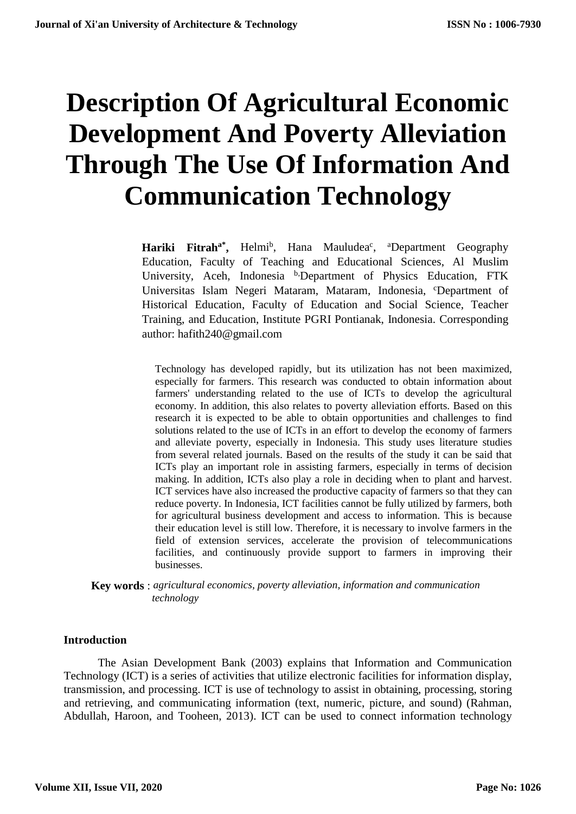# **Description Of Agricultural Economic Development And Poverty Alleviation Through The Use Of Information And Communication Technology**

Hariki Fitrah<sup>a\*</sup>, Helmi<sup>b</sup>, Hana Mauludea<sup>c</sup>, <sup>a</sup>Department Geography Education, Faculty of Teaching and Educational Sciences, Al Muslim University, Aceh, Indonesia b,Department of Physics Education, FTK Universitas Islam Negeri Mataram, Mataram, Indonesia, <sup>c</sup>Department of Historical Education, Faculty of Education and Social Science, Teacher Training, and Education, Institute PGRI Pontianak, Indonesia. Corresponding author: hafith240@gmail.com

Technology has developed rapidly, but its utilization has not been maximized, especially for farmers. This research was conducted to obtain information about farmers' understanding related to the use of ICTs to develop the agricultural economy. In addition, this also relates to poverty alleviation efforts. Based on this research it is expected to be able to obtain opportunities and challenges to find solutions related to the use of ICTs in an effort to develop the economy of farmers and alleviate poverty, especially in Indonesia. This study uses literature studies from several related journals. Based on the results of the study it can be said that ICTs play an important role in assisting farmers, especially in terms of decision making. In addition, ICTs also play a role in deciding when to plant and harvest. ICT services have also increased the productive capacity of farmers so that they can reduce poverty. In Indonesia, ICT facilities cannot be fully utilized by farmers, both for agricultural business development and access to information. This is because their education level is still low. Therefore, it is necessary to involve farmers in the field of extension services, accelerate the provision of telecommunications facilities, and continuously provide support to farmers in improving their businesses.

**Key words** : *agricultural economics, poverty alleviation, information and communication technology*

# **Introduction**

The Asian Development Bank (2003) explains that Information and Communication Technology (ICT) is a series of activities that utilize electronic facilities for information display, transmission, and processing. ICT is use of technology to assist in obtaining, processing, storing and retrieving, and communicating information (text, numeric, picture, and sound) (Rahman, Abdullah, Haroon, and Tooheen, 2013). ICT can be used to connect information technology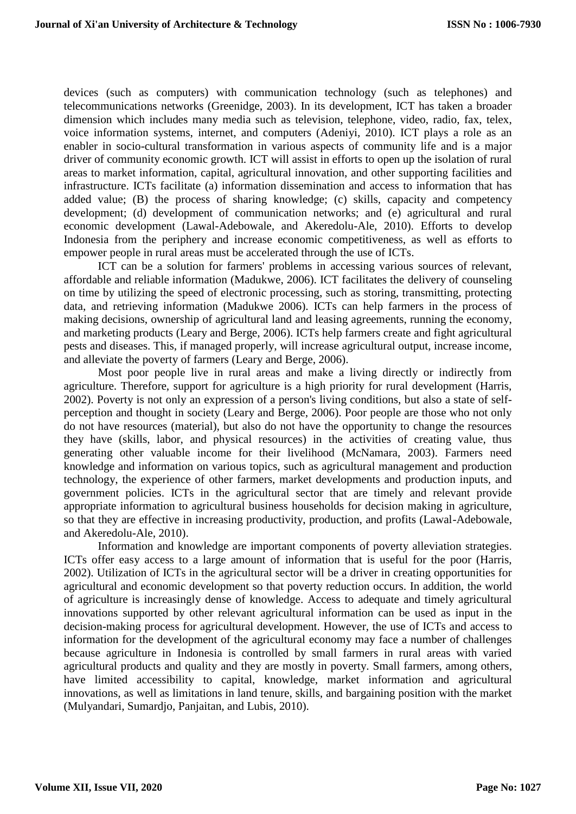devices (such as computers) with communication technology (such as telephones) and telecommunications networks (Greenidge, 2003). In its development, ICT has taken a broader dimension which includes many media such as television, telephone, video, radio, fax, telex, voice information systems, internet, and computers (Adeniyi, 2010). ICT plays a role as an enabler in socio-cultural transformation in various aspects of community life and is a major driver of community economic growth. ICT will assist in efforts to open up the isolation of rural areas to market information, capital, agricultural innovation, and other supporting facilities and infrastructure. ICTs facilitate (a) information dissemination and access to information that has added value; (B) the process of sharing knowledge; (c) skills, capacity and competency development; (d) development of communication networks; and (e) agricultural and rural economic development (Lawal-Adebowale, and Akeredolu-Ale, 2010). Efforts to develop Indonesia from the periphery and increase economic competitiveness, as well as efforts to empower people in rural areas must be accelerated through the use of ICTs.

ICT can be a solution for farmers' problems in accessing various sources of relevant, affordable and reliable information (Madukwe, 2006). ICT facilitates the delivery of counseling on time by utilizing the speed of electronic processing, such as storing, transmitting, protecting data, and retrieving information (Madukwe 2006). ICTs can help farmers in the process of making decisions, ownership of agricultural land and leasing agreements, running the economy, and marketing products (Leary and Berge, 2006). ICTs help farmers create and fight agricultural pests and diseases. This, if managed properly, will increase agricultural output, increase income, and alleviate the poverty of farmers (Leary and Berge, 2006).

Most poor people live in rural areas and make a living directly or indirectly from agriculture. Therefore, support for agriculture is a high priority for rural development (Harris, 2002). Poverty is not only an expression of a person's living conditions, but also a state of selfperception and thought in society (Leary and Berge, 2006). Poor people are those who not only do not have resources (material), but also do not have the opportunity to change the resources they have (skills, labor, and physical resources) in the activities of creating value, thus generating other valuable income for their livelihood (McNamara, 2003). Farmers need knowledge and information on various topics, such as agricultural management and production technology, the experience of other farmers, market developments and production inputs, and government policies. ICTs in the agricultural sector that are timely and relevant provide appropriate information to agricultural business households for decision making in agriculture, so that they are effective in increasing productivity, production, and profits (Lawal-Adebowale, and Akeredolu-Ale, 2010).

Information and knowledge are important components of poverty alleviation strategies. ICTs offer easy access to a large amount of information that is useful for the poor (Harris, 2002). Utilization of ICTs in the agricultural sector will be a driver in creating opportunities for agricultural and economic development so that poverty reduction occurs. In addition, the world of agriculture is increasingly dense of knowledge. Access to adequate and timely agricultural innovations supported by other relevant agricultural information can be used as input in the decision-making process for agricultural development. However, the use of ICTs and access to information for the development of the agricultural economy may face a number of challenges because agriculture in Indonesia is controlled by small farmers in rural areas with varied agricultural products and quality and they are mostly in poverty. Small farmers, among others, have limited accessibility to capital, knowledge, market information and agricultural innovations, as well as limitations in land tenure, skills, and bargaining position with the market (Mulyandari, Sumardjo, Panjaitan, and Lubis, 2010).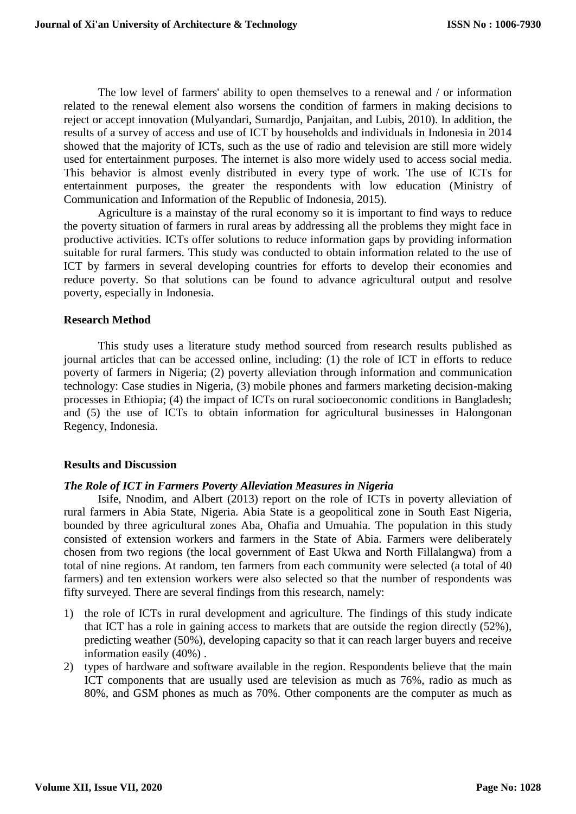The low level of farmers' ability to open themselves to a renewal and / or information related to the renewal element also worsens the condition of farmers in making decisions to reject or accept innovation (Mulyandari, Sumardjo, Panjaitan, and Lubis, 2010). In addition, the results of a survey of access and use of ICT by households and individuals in Indonesia in 2014 showed that the majority of ICTs, such as the use of radio and television are still more widely used for entertainment purposes. The internet is also more widely used to access social media. This behavior is almost evenly distributed in every type of work. The use of ICTs for entertainment purposes, the greater the respondents with low education (Ministry of Communication and Information of the Republic of Indonesia, 2015).

Agriculture is a mainstay of the rural economy so it is important to find ways to reduce the poverty situation of farmers in rural areas by addressing all the problems they might face in productive activities. ICTs offer solutions to reduce information gaps by providing information suitable for rural farmers. This study was conducted to obtain information related to the use of ICT by farmers in several developing countries for efforts to develop their economies and reduce poverty. So that solutions can be found to advance agricultural output and resolve poverty, especially in Indonesia.

#### **Research Method**

This study uses a literature study method sourced from research results published as journal articles that can be accessed online, including: (1) the role of ICT in efforts to reduce poverty of farmers in Nigeria; (2) poverty alleviation through information and communication technology: Case studies in Nigeria, (3) mobile phones and farmers marketing decision-making processes in Ethiopia; (4) the impact of ICTs on rural socioeconomic conditions in Bangladesh; and (5) the use of ICTs to obtain information for agricultural businesses in Halongonan Regency, Indonesia.

# **Results and Discussion**

# *The Role of ICT in Farmers Poverty Alleviation Measures in Nigeria*

Isife, Nnodim, and Albert (2013) report on the role of ICTs in poverty alleviation of rural farmers in Abia State, Nigeria. Abia State is a geopolitical zone in South East Nigeria, bounded by three agricultural zones Aba, Ohafia and Umuahia. The population in this study consisted of extension workers and farmers in the State of Abia. Farmers were deliberately chosen from two regions (the local government of East Ukwa and North Fillalangwa) from a total of nine regions. At random, ten farmers from each community were selected (a total of 40 farmers) and ten extension workers were also selected so that the number of respondents was fifty surveyed. There are several findings from this research, namely:

- 1) the role of ICTs in rural development and agriculture. The findings of this study indicate that ICT has a role in gaining access to markets that are outside the region directly (52%), predicting weather (50%), developing capacity so that it can reach larger buyers and receive information easily (40%) .
- 2) types of hardware and software available in the region. Respondents believe that the main ICT components that are usually used are television as much as 76%, radio as much as 80%, and GSM phones as much as 70%. Other components are the computer as much as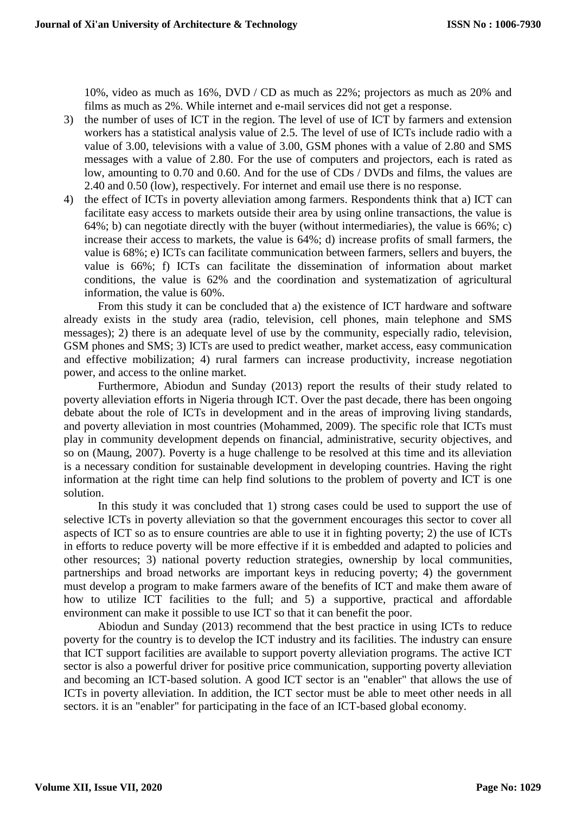10%, video as much as 16%, DVD / CD as much as 22%; projectors as much as 20% and films as much as 2%. While internet and e-mail services did not get a response.

- 3) the number of uses of ICT in the region. The level of use of ICT by farmers and extension workers has a statistical analysis value of 2.5. The level of use of ICTs include radio with a value of 3.00, televisions with a value of 3.00, GSM phones with a value of 2.80 and SMS messages with a value of 2.80. For the use of computers and projectors, each is rated as low, amounting to 0.70 and 0.60. And for the use of CDs / DVDs and films, the values are 2.40 and 0.50 (low), respectively. For internet and email use there is no response.
- 4) the effect of ICTs in poverty alleviation among farmers. Respondents think that a) ICT can facilitate easy access to markets outside their area by using online transactions, the value is 64%; b) can negotiate directly with the buyer (without intermediaries), the value is  $66\%$ ; c) increase their access to markets, the value is 64%; d) increase profits of small farmers, the value is 68%; e) ICTs can facilitate communication between farmers, sellers and buyers, the value is 66%; f) ICTs can facilitate the dissemination of information about market conditions, the value is 62% and the coordination and systematization of agricultural information, the value is 60%.

From this study it can be concluded that a) the existence of ICT hardware and software already exists in the study area (radio, television, cell phones, main telephone and SMS messages); 2) there is an adequate level of use by the community, especially radio, television, GSM phones and SMS; 3) ICTs are used to predict weather, market access, easy communication and effective mobilization; 4) rural farmers can increase productivity, increase negotiation power, and access to the online market.

Furthermore, Abiodun and Sunday (2013) report the results of their study related to poverty alleviation efforts in Nigeria through ICT. Over the past decade, there has been ongoing debate about the role of ICTs in development and in the areas of improving living standards, and poverty alleviation in most countries (Mohammed, 2009). The specific role that ICTs must play in community development depends on financial, administrative, security objectives, and so on (Maung, 2007). Poverty is a huge challenge to be resolved at this time and its alleviation is a necessary condition for sustainable development in developing countries. Having the right information at the right time can help find solutions to the problem of poverty and ICT is one solution.

In this study it was concluded that 1) strong cases could be used to support the use of selective ICTs in poverty alleviation so that the government encourages this sector to cover all aspects of ICT so as to ensure countries are able to use it in fighting poverty; 2) the use of ICTs in efforts to reduce poverty will be more effective if it is embedded and adapted to policies and other resources; 3) national poverty reduction strategies, ownership by local communities, partnerships and broad networks are important keys in reducing poverty; 4) the government must develop a program to make farmers aware of the benefits of ICT and make them aware of how to utilize ICT facilities to the full; and 5) a supportive, practical and affordable environment can make it possible to use ICT so that it can benefit the poor.

Abiodun and Sunday (2013) recommend that the best practice in using ICTs to reduce poverty for the country is to develop the ICT industry and its facilities. The industry can ensure that ICT support facilities are available to support poverty alleviation programs. The active ICT sector is also a powerful driver for positive price communication, supporting poverty alleviation and becoming an ICT-based solution. A good ICT sector is an "enabler" that allows the use of ICTs in poverty alleviation. In addition, the ICT sector must be able to meet other needs in all sectors. it is an "enabler" for participating in the face of an ICT-based global economy.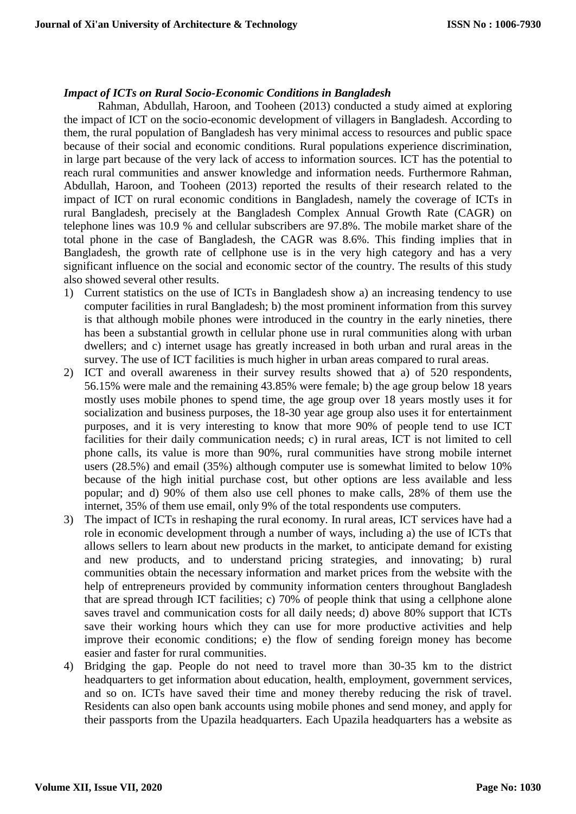#### *Impact of ICTs on Rural Socio-Economic Conditions in Bangladesh*

Rahman, Abdullah, Haroon, and Tooheen (2013) conducted a study aimed at exploring the impact of ICT on the socio-economic development of villagers in Bangladesh. According to them, the rural population of Bangladesh has very minimal access to resources and public space because of their social and economic conditions. Rural populations experience discrimination, in large part because of the very lack of access to information sources. ICT has the potential to reach rural communities and answer knowledge and information needs. Furthermore Rahman, Abdullah, Haroon, and Tooheen (2013) reported the results of their research related to the impact of ICT on rural economic conditions in Bangladesh, namely the coverage of ICTs in rural Bangladesh, precisely at the Bangladesh Complex Annual Growth Rate (CAGR) on telephone lines was 10.9 % and cellular subscribers are 97.8%. The mobile market share of the total phone in the case of Bangladesh, the CAGR was 8.6%. This finding implies that in Bangladesh, the growth rate of cellphone use is in the very high category and has a very significant influence on the social and economic sector of the country. The results of this study also showed several other results.

- 1) Current statistics on the use of ICTs in Bangladesh show a) an increasing tendency to use computer facilities in rural Bangladesh; b) the most prominent information from this survey is that although mobile phones were introduced in the country in the early nineties, there has been a substantial growth in cellular phone use in rural communities along with urban dwellers; and c) internet usage has greatly increased in both urban and rural areas in the survey. The use of ICT facilities is much higher in urban areas compared to rural areas.
- 2) ICT and overall awareness in their survey results showed that a) of 520 respondents, 56.15% were male and the remaining 43.85% were female; b) the age group below 18 years mostly uses mobile phones to spend time, the age group over 18 years mostly uses it for socialization and business purposes, the 18-30 year age group also uses it for entertainment purposes, and it is very interesting to know that more 90% of people tend to use ICT facilities for their daily communication needs; c) in rural areas, ICT is not limited to cell phone calls, its value is more than 90%, rural communities have strong mobile internet users (28.5%) and email (35%) although computer use is somewhat limited to below 10% because of the high initial purchase cost, but other options are less available and less popular; and d) 90% of them also use cell phones to make calls, 28% of them use the internet, 35% of them use email, only 9% of the total respondents use computers.
- 3) The impact of ICTs in reshaping the rural economy. In rural areas, ICT services have had a role in economic development through a number of ways, including a) the use of ICTs that allows sellers to learn about new products in the market, to anticipate demand for existing and new products, and to understand pricing strategies, and innovating; b) rural communities obtain the necessary information and market prices from the website with the help of entrepreneurs provided by community information centers throughout Bangladesh that are spread through ICT facilities; c) 70% of people think that using a cellphone alone saves travel and communication costs for all daily needs; d) above 80% support that ICTs save their working hours which they can use for more productive activities and help improve their economic conditions; e) the flow of sending foreign money has become easier and faster for rural communities.
- 4) Bridging the gap. People do not need to travel more than 30-35 km to the district headquarters to get information about education, health, employment, government services, and so on. ICTs have saved their time and money thereby reducing the risk of travel. Residents can also open bank accounts using mobile phones and send money, and apply for their passports from the Upazila headquarters. Each Upazila headquarters has a website as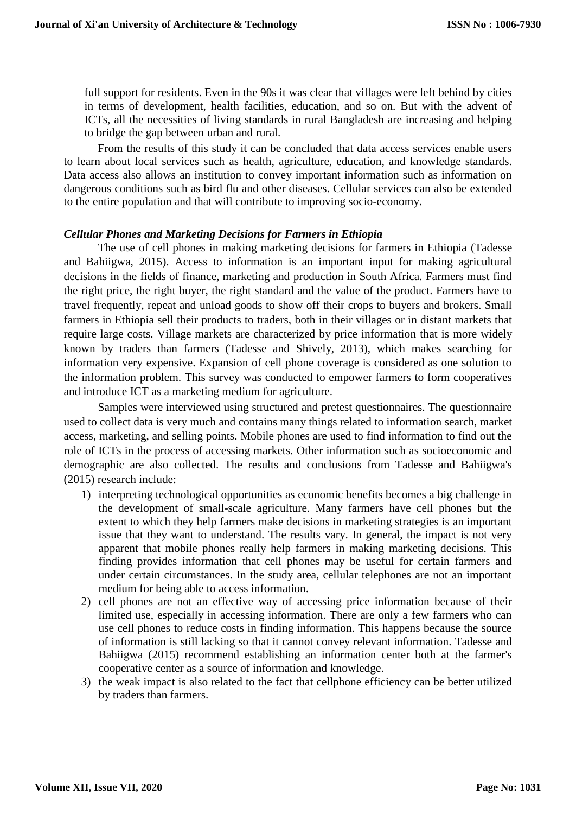full support for residents. Even in the 90s it was clear that villages were left behind by cities in terms of development, health facilities, education, and so on. But with the advent of ICTs, all the necessities of living standards in rural Bangladesh are increasing and helping to bridge the gap between urban and rural.

From the results of this study it can be concluded that data access services enable users to learn about local services such as health, agriculture, education, and knowledge standards. Data access also allows an institution to convey important information such as information on dangerous conditions such as bird flu and other diseases. Cellular services can also be extended to the entire population and that will contribute to improving socio-economy.

#### *Cellular Phones and Marketing Decisions for Farmers in Ethiopia*

The use of cell phones in making marketing decisions for farmers in Ethiopia (Tadesse and Bahiigwa, 2015). Access to information is an important input for making agricultural decisions in the fields of finance, marketing and production in South Africa. Farmers must find the right price, the right buyer, the right standard and the value of the product. Farmers have to travel frequently, repeat and unload goods to show off their crops to buyers and brokers. Small farmers in Ethiopia sell their products to traders, both in their villages or in distant markets that require large costs. Village markets are characterized by price information that is more widely known by traders than farmers (Tadesse and Shively, 2013), which makes searching for information very expensive. Expansion of cell phone coverage is considered as one solution to the information problem. This survey was conducted to empower farmers to form cooperatives and introduce ICT as a marketing medium for agriculture.

Samples were interviewed using structured and pretest questionnaires. The questionnaire used to collect data is very much and contains many things related to information search, market access, marketing, and selling points. Mobile phones are used to find information to find out the role of ICTs in the process of accessing markets. Other information such as socioeconomic and demographic are also collected. The results and conclusions from Tadesse and Bahiigwa's (2015) research include:

- 1) interpreting technological opportunities as economic benefits becomes a big challenge in the development of small-scale agriculture. Many farmers have cell phones but the extent to which they help farmers make decisions in marketing strategies is an important issue that they want to understand. The results vary. In general, the impact is not very apparent that mobile phones really help farmers in making marketing decisions. This finding provides information that cell phones may be useful for certain farmers and under certain circumstances. In the study area, cellular telephones are not an important medium for being able to access information.
- 2) cell phones are not an effective way of accessing price information because of their limited use, especially in accessing information. There are only a few farmers who can use cell phones to reduce costs in finding information. This happens because the source of information is still lacking so that it cannot convey relevant information. Tadesse and Bahiigwa (2015) recommend establishing an information center both at the farmer's cooperative center as a source of information and knowledge.
- 3) the weak impact is also related to the fact that cellphone efficiency can be better utilized by traders than farmers.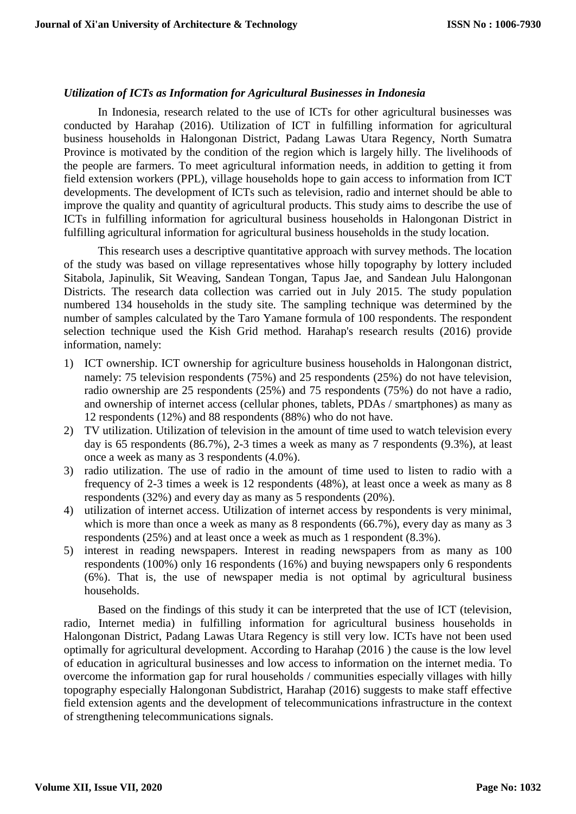#### *Utilization of ICTs as Information for Agricultural Businesses in Indonesia*

In Indonesia, research related to the use of ICTs for other agricultural businesses was conducted by Harahap (2016). Utilization of ICT in fulfilling information for agricultural business households in Halongonan District, Padang Lawas Utara Regency, North Sumatra Province is motivated by the condition of the region which is largely hilly. The livelihoods of the people are farmers. To meet agricultural information needs, in addition to getting it from field extension workers (PPL), village households hope to gain access to information from ICT developments. The development of ICTs such as television, radio and internet should be able to improve the quality and quantity of agricultural products. This study aims to describe the use of ICTs in fulfilling information for agricultural business households in Halongonan District in fulfilling agricultural information for agricultural business households in the study location.

This research uses a descriptive quantitative approach with survey methods. The location of the study was based on village representatives whose hilly topography by lottery included Sitabola, Japinulik, Sit Weaving, Sandean Tongan, Tapus Jae, and Sandean Julu Halongonan Districts. The research data collection was carried out in July 2015. The study population numbered 134 households in the study site. The sampling technique was determined by the number of samples calculated by the Taro Yamane formula of 100 respondents. The respondent selection technique used the Kish Grid method. Harahap's research results (2016) provide information, namely:

- 1) ICT ownership. ICT ownership for agriculture business households in Halongonan district, namely: 75 television respondents (75%) and 25 respondents (25%) do not have television, radio ownership are 25 respondents (25%) and 75 respondents (75%) do not have a radio, and ownership of internet access (cellular phones, tablets, PDAs / smartphones) as many as 12 respondents (12%) and 88 respondents (88%) who do not have.
- 2) TV utilization. Utilization of television in the amount of time used to watch television every day is 65 respondents (86.7%), 2-3 times a week as many as 7 respondents (9.3%), at least once a week as many as 3 respondents (4.0%).
- 3) radio utilization. The use of radio in the amount of time used to listen to radio with a frequency of 2-3 times a week is 12 respondents (48%), at least once a week as many as 8 respondents (32%) and every day as many as 5 respondents (20%).
- 4) utilization of internet access. Utilization of internet access by respondents is very minimal, which is more than once a week as many as 8 respondents (66.7%), every day as many as 3 respondents (25%) and at least once a week as much as 1 respondent (8.3%).
- 5) interest in reading newspapers. Interest in reading newspapers from as many as 100 respondents (100%) only 16 respondents (16%) and buying newspapers only 6 respondents (6%). That is, the use of newspaper media is not optimal by agricultural business households.

Based on the findings of this study it can be interpreted that the use of ICT (television, radio, Internet media) in fulfilling information for agricultural business households in Halongonan District, Padang Lawas Utara Regency is still very low. ICTs have not been used optimally for agricultural development. According to Harahap (2016 ) the cause is the low level of education in agricultural businesses and low access to information on the internet media. To overcome the information gap for rural households / communities especially villages with hilly topography especially Halongonan Subdistrict, Harahap (2016) suggests to make staff effective field extension agents and the development of telecommunications infrastructure in the context of strengthening telecommunications signals.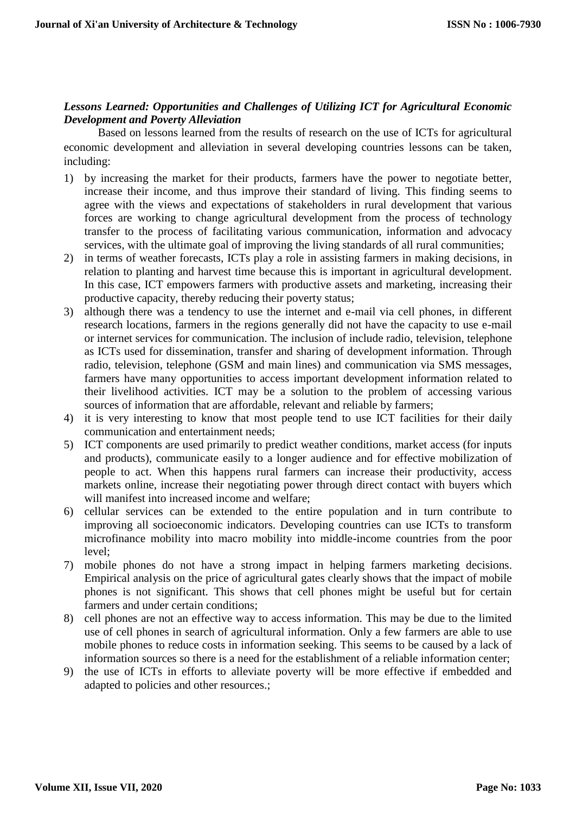# *Lessons Learned: Opportunities and Challenges of Utilizing ICT for Agricultural Economic Development and Poverty Alleviation*

Based on lessons learned from the results of research on the use of ICTs for agricultural economic development and alleviation in several developing countries lessons can be taken, including:

- 1) by increasing the market for their products, farmers have the power to negotiate better, increase their income, and thus improve their standard of living. This finding seems to agree with the views and expectations of stakeholders in rural development that various forces are working to change agricultural development from the process of technology transfer to the process of facilitating various communication, information and advocacy services, with the ultimate goal of improving the living standards of all rural communities;
- 2) in terms of weather forecasts, ICTs play a role in assisting farmers in making decisions, in relation to planting and harvest time because this is important in agricultural development. In this case, ICT empowers farmers with productive assets and marketing, increasing their productive capacity, thereby reducing their poverty status;
- 3) although there was a tendency to use the internet and e-mail via cell phones, in different research locations, farmers in the regions generally did not have the capacity to use e-mail or internet services for communication. The inclusion of include radio, television, telephone as ICTs used for dissemination, transfer and sharing of development information. Through radio, television, telephone (GSM and main lines) and communication via SMS messages, farmers have many opportunities to access important development information related to their livelihood activities. ICT may be a solution to the problem of accessing various sources of information that are affordable, relevant and reliable by farmers;
- 4) it is very interesting to know that most people tend to use ICT facilities for their daily communication and entertainment needs;
- 5) ICT components are used primarily to predict weather conditions, market access (for inputs and products), communicate easily to a longer audience and for effective mobilization of people to act. When this happens rural farmers can increase their productivity, access markets online, increase their negotiating power through direct contact with buyers which will manifest into increased income and welfare;
- 6) cellular services can be extended to the entire population and in turn contribute to improving all socioeconomic indicators. Developing countries can use ICTs to transform microfinance mobility into macro mobility into middle-income countries from the poor level;
- 7) mobile phones do not have a strong impact in helping farmers marketing decisions. Empirical analysis on the price of agricultural gates clearly shows that the impact of mobile phones is not significant. This shows that cell phones might be useful but for certain farmers and under certain conditions;
- 8) cell phones are not an effective way to access information. This may be due to the limited use of cell phones in search of agricultural information. Only a few farmers are able to use mobile phones to reduce costs in information seeking. This seems to be caused by a lack of information sources so there is a need for the establishment of a reliable information center;
- 9) the use of ICTs in efforts to alleviate poverty will be more effective if embedded and adapted to policies and other resources.;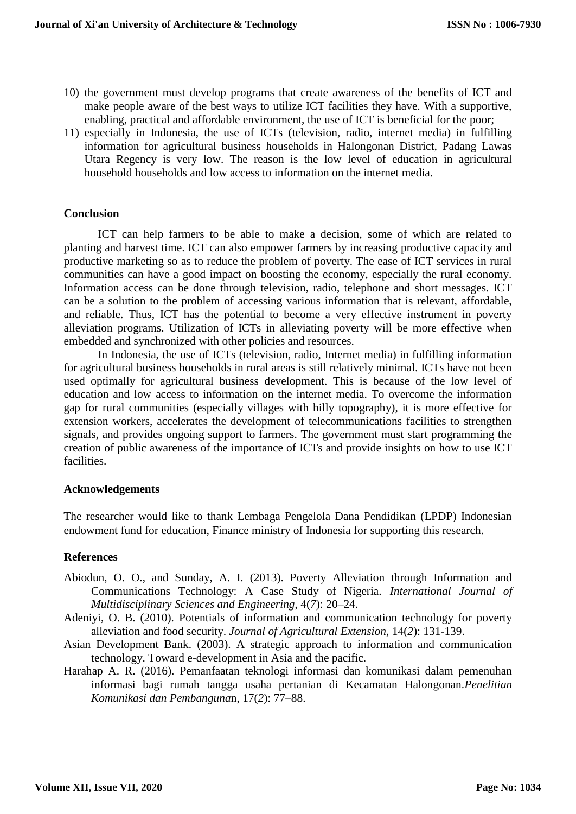- 10) the government must develop programs that create awareness of the benefits of ICT and make people aware of the best ways to utilize ICT facilities they have. With a supportive, enabling, practical and affordable environment, the use of ICT is beneficial for the poor;
- 11) especially in Indonesia, the use of ICTs (television, radio, internet media) in fulfilling information for agricultural business households in Halongonan District, Padang Lawas Utara Regency is very low. The reason is the low level of education in agricultural household households and low access to information on the internet media.

#### **Conclusion**

ICT can help farmers to be able to make a decision, some of which are related to planting and harvest time. ICT can also empower farmers by increasing productive capacity and productive marketing so as to reduce the problem of poverty. The ease of ICT services in rural communities can have a good impact on boosting the economy, especially the rural economy. Information access can be done through television, radio, telephone and short messages. ICT can be a solution to the problem of accessing various information that is relevant, affordable, and reliable. Thus, ICT has the potential to become a very effective instrument in poverty alleviation programs. Utilization of ICTs in alleviating poverty will be more effective when embedded and synchronized with other policies and resources.

In Indonesia, the use of ICTs (television, radio, Internet media) in fulfilling information for agricultural business households in rural areas is still relatively minimal. ICTs have not been used optimally for agricultural business development. This is because of the low level of education and low access to information on the internet media. To overcome the information gap for rural communities (especially villages with hilly topography), it is more effective for extension workers, accelerates the development of telecommunications facilities to strengthen signals, and provides ongoing support to farmers. The government must start programming the creation of public awareness of the importance of ICTs and provide insights on how to use ICT facilities.

#### **Acknowledgements**

The researcher would like to thank Lembaga Pengelola Dana Pendidikan (LPDP) Indonesian endowment fund for education, Finance ministry of Indonesia for supporting this research.

# **References**

- Abiodun, O. O., and Sunday, A. I. (2013). Poverty Alleviation through Information and Communications Technology: A Case Study of Nigeria. *International Journal of Multidisciplinary Sciences and Engineering*, 4(*7*): 20–24.
- Adeniyi, O. B. (2010). Potentials of information and communication technology for poverty alleviation and food security. *Journal of Agricultural Extension*, 14(*2*): 131-139.
- Asian Development Bank. (2003). A strategic approach to information and communication technology. Toward e-development in Asia and the pacific.
- Harahap A. R. (2016). Pemanfaatan teknologi informasi dan komunikasi dalam pemenuhan informasi bagi rumah tangga usaha pertanian di Kecamatan Halongonan.*Penelitian Komunikasi dan Pembanguna*n, 17(*2*): 77–88.